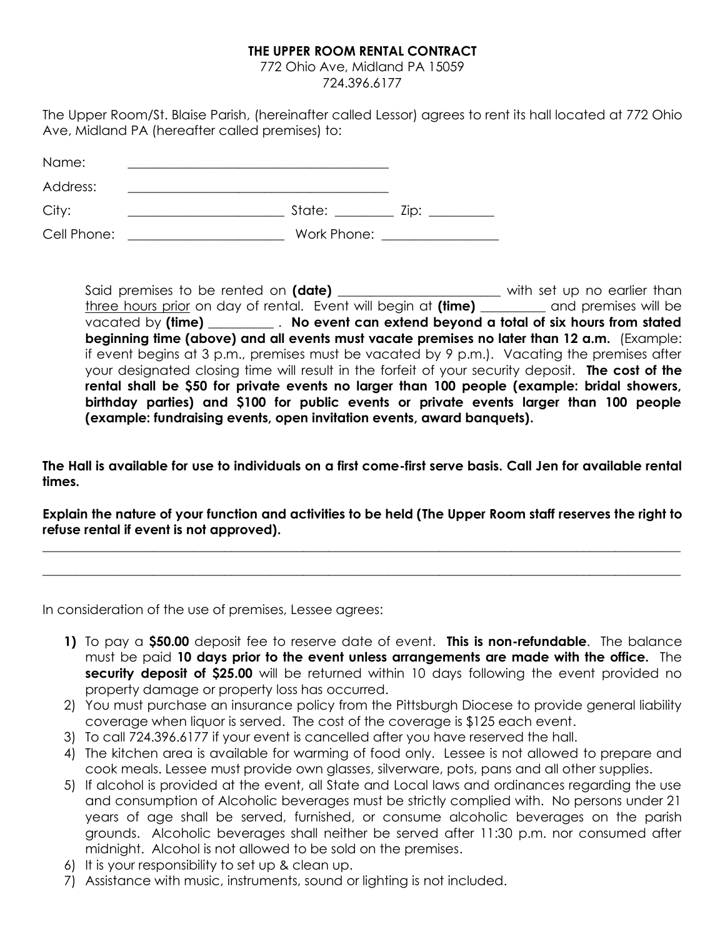## **THE UPPER ROOM RENTAL CONTRACT**

772 Ohio Ave, Midland PA 15059 724.396.6177

The Upper Room/St. Blaise Parish, (hereinafter called Lessor) agrees to rent its hall located at 772 Ohio Ave, Midland PA (hereafter called premises) to:

| Name:       |             |      |
|-------------|-------------|------|
| Address:    |             |      |
| City:       | State:      | Zip: |
| Cell Phone: | Work Phone: |      |

Said premises to be rented on (date) \_\_\_\_\_\_\_\_\_\_\_\_\_\_\_\_\_\_\_\_\_\_\_ with set up no earlier than three hours prior on day of rental. Event will begin at **(time)** \_\_\_\_\_\_\_\_\_\_ and premises will be vacated by **(time)** \_\_\_\_\_\_\_\_\_\_ . **No event can extend beyond a total of six hours from stated beginning time (above) and all events must vacate premises no later than 12 a.m.** (Example: if event begins at 3 p.m., premises must be vacated by 9 p.m.). Vacating the premises after your designated closing time will result in the forfeit of your security deposit. **The cost of the rental shall be \$50 for private events no larger than 100 people (example: bridal showers, birthday parties) and \$100 for public events or private events larger than 100 people (example: fundraising events, open invitation events, award banquets).**

**The Hall is available for use to individuals on a first come-first serve basis. Call Jen for available rental times.**

**Explain the nature of your function and activities to be held (The Upper Room staff reserves the right to refuse rental if event is not approved).**

 $\_$  , and the set of the set of the set of the set of the set of the set of the set of the set of the set of the set of the set of the set of the set of the set of the set of the set of the set of the set of the set of th

 $\_$  , and the set of the set of the set of the set of the set of the set of the set of the set of the set of the set of the set of the set of the set of the set of the set of the set of the set of the set of the set of th

In consideration of the use of premises, Lessee agrees:

- **1)** To pay a **\$50.00** deposit fee to reserve date of event. **This is non-refundable**. The balance must be paid **10 days prior to the event unless arrangements are made with the office.** The **security deposit of \$25.00** will be returned within 10 days following the event provided no property damage or property loss has occurred.
- 2) You must purchase an insurance policy from the Pittsburgh Diocese to provide general liability coverage when liquor is served. The cost of the coverage is \$125 each event.
- 3) To call 724.396.6177 if your event is cancelled after you have reserved the hall.
- 4) The kitchen area is available for warming of food only. Lessee is not allowed to prepare and cook meals. Lessee must provide own glasses, silverware, pots, pans and all other supplies.
- 5) If alcohol is provided at the event, all State and Local laws and ordinances regarding the use and consumption of Alcoholic beverages must be strictly complied with. No persons under 21 years of age shall be served, furnished, or consume alcoholic beverages on the parish grounds. Alcoholic beverages shall neither be served after 11:30 p.m. nor consumed after midnight. Alcohol is not allowed to be sold on the premises.
- 6) It is your responsibility to set up & clean up.
- 7) Assistance with music, instruments, sound or lighting is not included.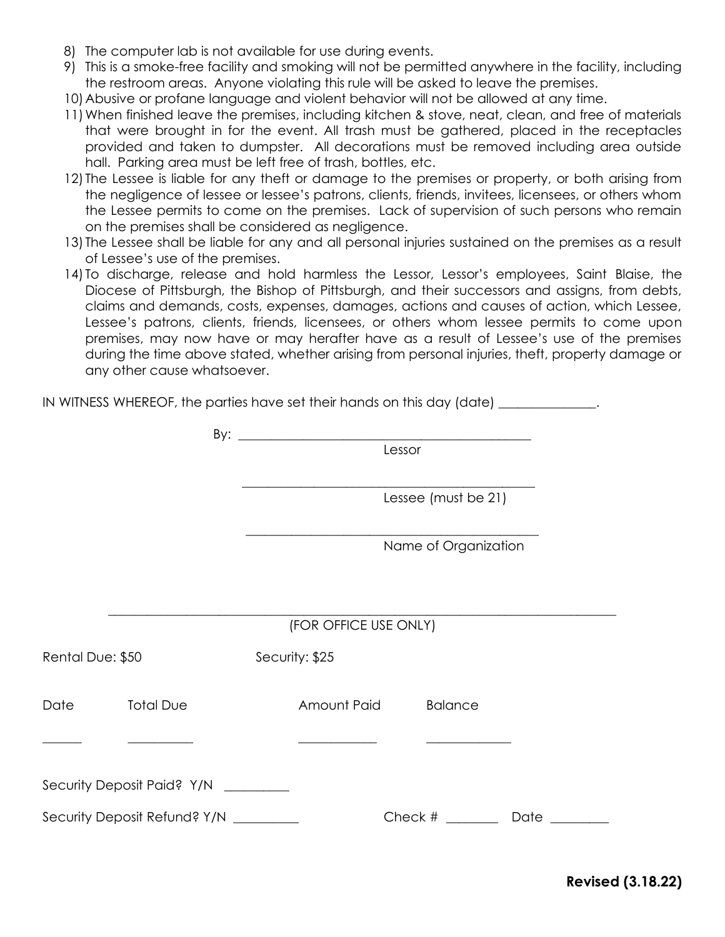- 8) The computer lab is not available for use during events.
- 9) This is a smoke-free facility and smoking will not be permitted anywhere in the facility, including the restroom areas. Anyone violating this rule will be asked to leave the premises.
- 10)Abusive or profane language and violent behavior will not be allowed at any time.
- 11)When finished leave the premises, including kitchen & stove, neat, clean, and free of materials that were brought in for the event. All trash must be gathered, placed in the receptacles provided and taken to dumpster. All decorations must be removed including area outside hall. Parking area must be left free of trash, bottles, etc.
- 12) The Lessee is liable for any theft or damage to the premises or property, or both arising from the negligence of lessee or lessee's patrons, clients, friends, invitees, licensees, or others whom the Lessee permits to come on the premises. Lack of supervision of such persons who remain on the premises shall be considered as negligence.
- 13) The Lessee shall be liable for any and all personal injuries sustained on the premises as a result of Lessee's use of the premises.
- 14) To discharge, release and hold harmless the Lessor, Lessor's employees, Saint Blaise, the Diocese of Pittsburgh, the Bishop of Pittsburgh, and their successors and assigns, from debts, claims and demands, costs, expenses, damages, actions and causes of action, which Lessee, Lessee's patrons, clients, friends, licensees, or others whom lessee permits to come upon premises, may now have or may herafter have as a result of Lessee's use of the premises during the time above stated, whether arising from personal injuries, theft, property damage or any other cause whatsoever.

|                  |                                        | IN WITNESS WHEREOF, the parties have set their hands on this day (date) _____________. |                              |
|------------------|----------------------------------------|----------------------------------------------------------------------------------------|------------------------------|
|                  |                                        |                                                                                        |                              |
|                  |                                        | Lessor                                                                                 |                              |
|                  |                                        | Lessee (must be 21)                                                                    |                              |
|                  |                                        |                                                                                        | Name of Organization         |
|                  |                                        | (FOR OFFICE USE ONLY)                                                                  |                              |
| Rental Due: \$50 |                                        | Security: \$25                                                                         |                              |
|                  | Date Total Due                         | Amount Paid                                                                            | <b>Balance</b>               |
|                  | Security Deposit Paid? Y/N _________   |                                                                                        |                              |
|                  |                                        |                                                                                        |                              |
|                  | Security Deposit Refund? Y/N _________ |                                                                                        | Check # _______ Date _______ |